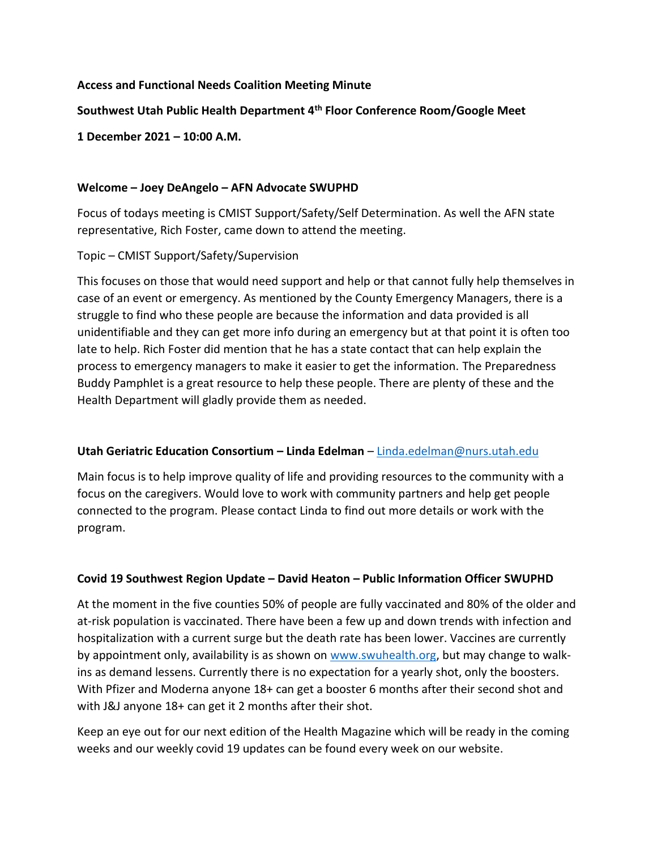## **Access and Functional Needs Coalition Meeting Minute**

## **Southwest Utah Public Health Department 4th Floor Conference Room/Google Meet**

**1 December 2021 – 10:00 A.M.**

### **Welcome – Joey DeAngelo – AFN Advocate SWUPHD**

Focus of todays meeting is CMIST Support/Safety/Self Determination. As well the AFN state representative, Rich Foster, came down to attend the meeting.

### Topic – CMIST Support/Safety/Supervision

This focuses on those that would need support and help or that cannot fully help themselves in case of an event or emergency. As mentioned by the County Emergency Managers, there is a struggle to find who these people are because the information and data provided is all unidentifiable and they can get more info during an emergency but at that point it is often too late to help. Rich Foster did mention that he has a state contact that can help explain the process to emergency managers to make it easier to get the information. The Preparedness Buddy Pamphlet is a great resource to help these people. There are plenty of these and the Health Department will gladly provide them as needed.

## **Utah Geriatric Education Consortium – Linda Edelman** – [Linda.edelman@nurs.utah.edu](mailto:Linda.edelman@nurs.utah.edu)

Main focus is to help improve quality of life and providing resources to the community with a focus on the caregivers. Would love to work with community partners and help get people connected to the program. Please contact Linda to find out more details or work with the program.

## **Covid 19 Southwest Region Update – David Heaton – Public Information Officer SWUPHD**

At the moment in the five counties 50% of people are fully vaccinated and 80% of the older and at-risk population is vaccinated. There have been a few up and down trends with infection and hospitalization with a current surge but the death rate has been lower. Vaccines are currently by appointment only, availability is as shown on [www.swuhealth.org,](http://www.swuhealth.org/) but may change to walkins as demand lessens. Currently there is no expectation for a yearly shot, only the boosters. With Pfizer and Moderna anyone 18+ can get a booster 6 months after their second shot and with J&J anyone 18+ can get it 2 months after their shot.

Keep an eye out for our next edition of the Health Magazine which will be ready in the coming weeks and our weekly covid 19 updates can be found every week on our website.